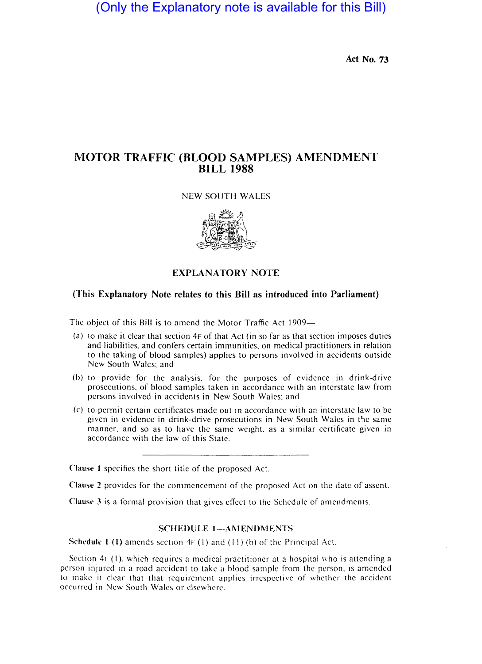# (Only the Explanatory note is available for this Bill)

Act No. 73

## MOTOR TRAFFIC (BLOOD SAMPLES) AMENDMENT BILL 1988

### NEW SOUTH WALES



#### EXPLANATORY NOTE

#### (This Explanatory Note relates to this Bill as introduced into Parliament)

The object of this Bill is to amend the Motor Traffic Act 1909-

- (a) to make it clear that section 4F of that Act (in so far as that section imposes duties and liabilities. and confers certain immunities, on medical practitioners in relation to the taking of blood samples) applies to persons involved in accidents outside New South Wales; and
- (b) to provide for the analysis. for the purposes of evidence in drink-drive prosecutions, of blood samples taken in accordance with an interstate law from persons involved in accidents in New South Wales; and
- (c) to permit certain certificates made out in accordance with an interstate law to be given in evidence in drink-drive prosecutions in New South Wales in the same manner, and so as to have the same weight. as a similar certificate given in accordance with the law of this State.

Clause I specifics the short title of the proposed Act.

Clause 2 provides for the commencement of the proposed Act on the date of assent.

Clause 3 is a formal provision that gives effect to the Schedule of amendments.

#### SCHEDULE 1-AMENDMENTS

Schedule 1 (1) amends section  $4F(1)$  and  $(11)$  (b) of the Principal Act.

Section  $4F(1)$ , which requires a medical practitioner at a hospital who is attending a person injured in a road accident to take a hlood sample from the person. is amended to make it clear that that requirement applies irrespective of whether the accident occurred in New South Wales or elsewhere.